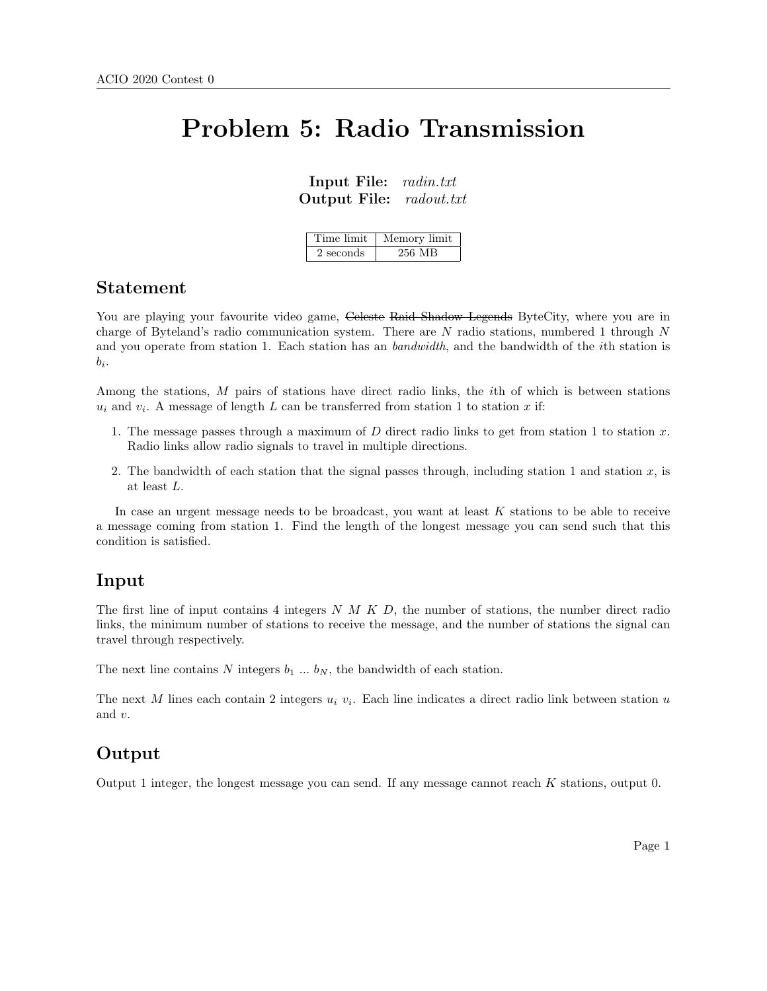# Problem 5: Radio Transmission

Input File: radin.txt Output File: radout.txt

| Time limit | Memory limit |
|------------|--------------|
| 2 seconds  | 256 MB       |

#### Statement

You are playing your favourite video game, Celeste Raid Shadow Legends ByteCity, where you are in charge of Byteland's radio communication system. There are  $N$  radio stations, numbered 1 through  $N$ and you operate from station 1. Each station has an bandwidth, and the bandwidth of the *i*th station is  $b_i$ .

Among the stations, M pairs of stations have direct radio links, the ith of which is between stations  $u_i$  and  $v_i$ . A message of length L can be transferred from station 1 to station x if:

- 1. The message passes through a maximum of  $D$  direct radio links to get from station 1 to station  $x$ . Radio links allow radio signals to travel in multiple directions.
- 2. The bandwidth of each station that the signal passes through, including station 1 and station  $x$ , is at least L.

In case an urgent message needs to be broadcast, you want at least K stations to be able to receive a message coming from station 1. Find the length of the longest message you can send such that this condition is satisfied.

#### Input

The first line of input contains 4 integers  $N$  M K D, the number of stations, the number direct radio links, the minimum number of stations to receive the message, and the number of stations the signal can travel through respectively.

The next line contains N integers  $b_1 \ldots b_N$ , the bandwidth of each station.

The next M lines each contain 2 integers  $u_i$   $v_i$ . Each line indicates a direct radio link between station u and v.

## Output

Output 1 integer, the longest message you can send. If any message cannot reach K stations, output 0.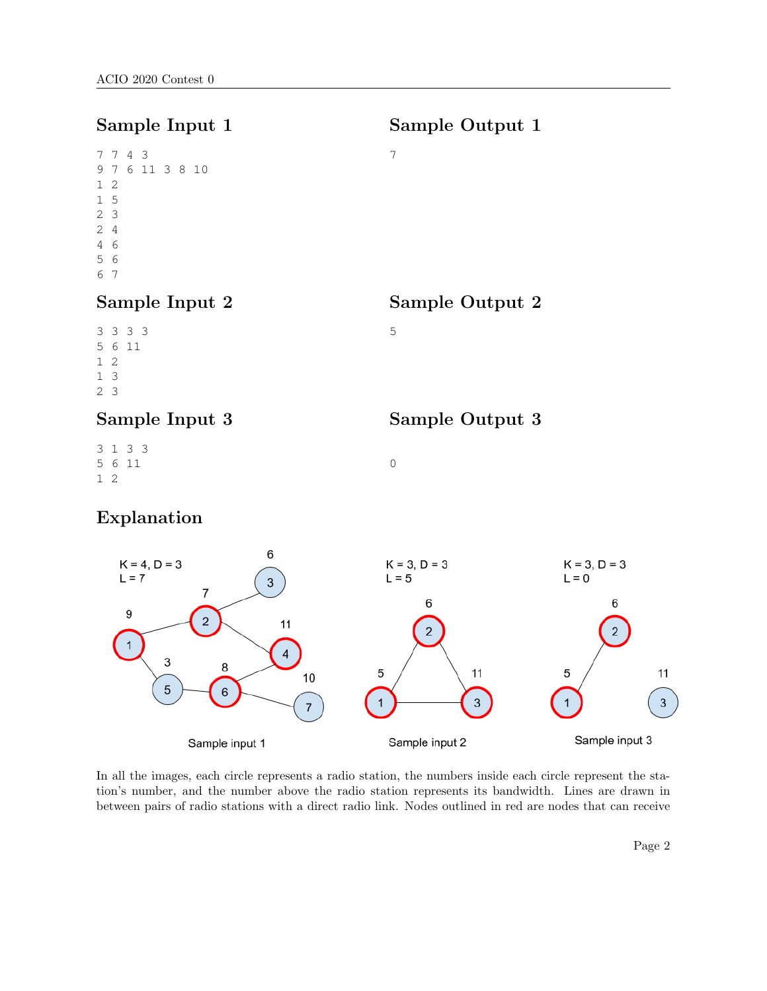# Sample Input 1

Sample Output 1

Sample Output 2

Sample Output 3

7

5

0

### Sample Input 2

#### Sample Input 3

3 1 3 3 5 6 11 1 2

# Explanation



In all the images, each circle represents a radio station, the numbers inside each circle represent the station's number, and the number above the radio station represents its bandwidth. Lines are drawn in between pairs of radio stations with a direct radio link. Nodes outlined in red are nodes that can receive